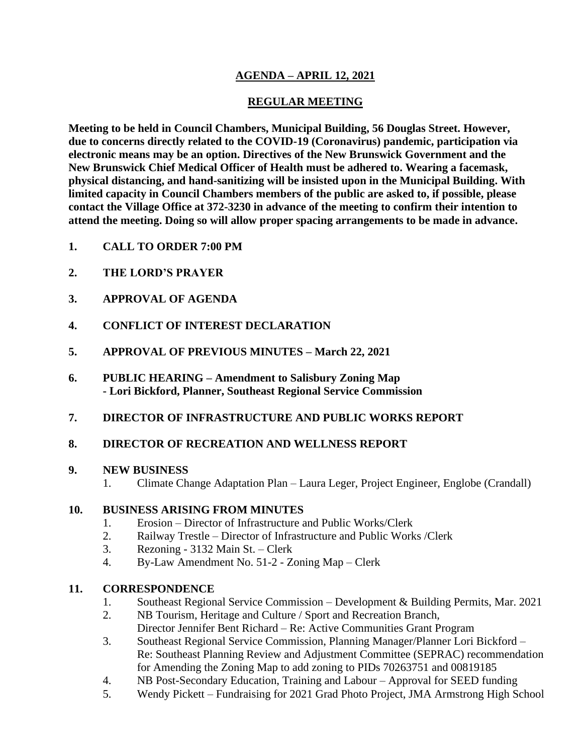# **AGENDA – APRIL 12, 2021**

### **REGULAR MEETING**

**Meeting to be held in Council Chambers, Municipal Building, 56 Douglas Street. However, due to concerns directly related to the COVID-19 (Coronavirus) pandemic, participation via electronic means may be an option. Directives of the New Brunswick Government and the New Brunswick Chief Medical Officer of Health must be adhered to. Wearing a facemask, physical distancing, and hand-sanitizing will be insisted upon in the Municipal Building. With limited capacity in Council Chambers members of the public are asked to, if possible, please contact the Village Office at 372-3230 in advance of the meeting to confirm their intention to attend the meeting. Doing so will allow proper spacing arrangements to be made in advance.**

- **1. CALL TO ORDER 7:00 PM**
- **2. THE LORD'S PRAYER**
- **3. APPROVAL OF AGENDA**
- **4. CONFLICT OF INTEREST DECLARATION**
- **5. APPROVAL OF PREVIOUS MINUTES – March 22, 2021**
- **6. PUBLIC HEARING – Amendment to Salisbury Zoning Map - Lori Bickford, Planner, Southeast Regional Service Commission**
- **7. DIRECTOR OF INFRASTRUCTURE AND PUBLIC WORKS REPORT**

#### **8. DIRECTOR OF RECREATION AND WELLNESS REPORT**

#### **9. NEW BUSINESS**

1. Climate Change Adaptation Plan – Laura Leger, Project Engineer, Englobe (Crandall)

#### **10. BUSINESS ARISING FROM MINUTES**

- 1. Erosion Director of Infrastructure and Public Works/Clerk
- 2. Railway Trestle Director of Infrastructure and Public Works /Clerk
- 3. Rezoning 3132 Main St. Clerk
- 4. By-Law Amendment No. 51-2 Zoning Map Clerk

#### **11. CORRESPONDENCE**

- 1. Southeast Regional Service Commission Development & Building Permits, Mar. 2021
- 2. NB Tourism, Heritage and Culture / Sport and Recreation Branch, Director Jennifer Bent Richard – Re: Active Communities Grant Program
- 3. Southeast Regional Service Commission, Planning Manager/Planner Lori Bickford Re: Southeast Planning Review and Adjustment Committee (SEPRAC) recommendation for Amending the Zoning Map to add zoning to PIDs 70263751 and 00819185
- 4. NB Post-Secondary Education, Training and Labour Approval for SEED funding
- 5. Wendy Pickett Fundraising for 2021 Grad Photo Project, JMA Armstrong High School